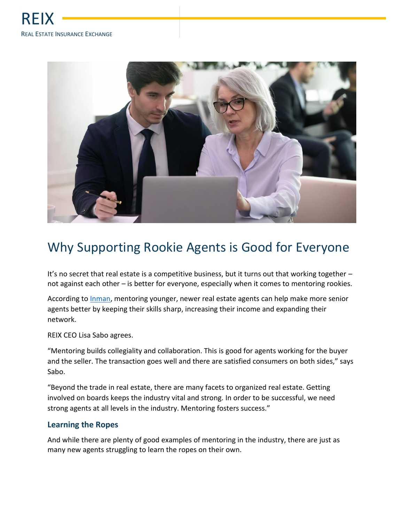

## Why Supporting Rookie Agents is Good for Everyone

It's no secret that real estate is a competitive business, but it turns out that working together not against each other – is better for everyone, especially when it comes to mentoring rookies.

According to [Inman,](https://www.inman.com/2016/07/06/3-reasons-becoming-a-mentor-will-make-you-a-better-agent/) mentoring younger, newer real estate agents can help make more senior agents better by keeping their skills sharp, increasing their income and expanding their network.

REIX CEO Lisa Sabo agrees.

"Mentoring builds collegiality and collaboration. This is good for agents working for the buyer and the seller. The transaction goes well and there are satisfied consumers on both sides," says Sabo.

"Beyond the trade in real estate, there are many facets to organized real estate. Getting involved on boards keeps the industry vital and strong. In order to be successful, we need strong agents at all levels in the industry. Mentoring fosters success."

## **Learning the Ropes**

And while there are plenty of good examples of mentoring in the industry, there are just as many new agents struggling to learn the ropes on their own.